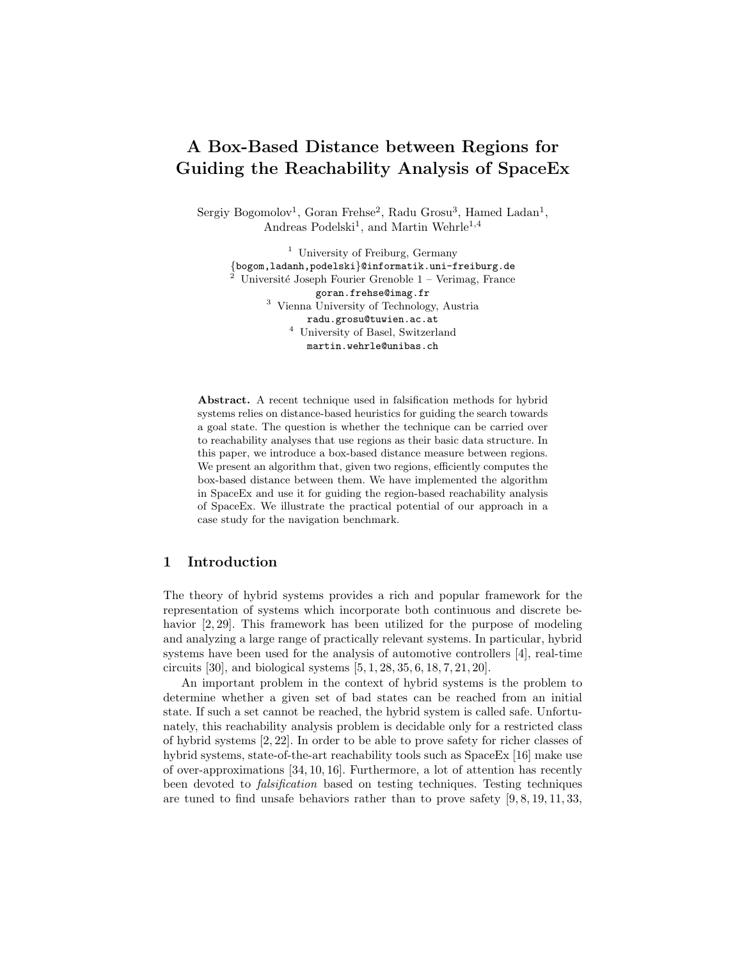# A Box-Based Distance between Regions for Guiding the Reachability Analysis of SpaceEx

Sergiy Bogomolov<sup>1</sup>, Goran Frehse<sup>2</sup>, Radu Grosu<sup>3</sup>, Hamed Ladan<sup>1</sup>, Andreas Podelski<sup>1</sup>, and Martin Wehrle<sup>1,4</sup>

<sup>1</sup> University of Freiburg, Germany {bogom,ladanh,podelski}@informatik.uni-freiburg.de Université Joseph Fourier Grenoble 1 – Verimag, France goran.frehse@imag.fr <sup>3</sup> Vienna University of Technology, Austria radu.grosu@tuwien.ac.at <sup>4</sup> University of Basel, Switzerland martin.wehrle@unibas.ch

Abstract. A recent technique used in falsification methods for hybrid systems relies on distance-based heuristics for guiding the search towards a goal state. The question is whether the technique can be carried over to reachability analyses that use regions as their basic data structure. In this paper, we introduce a box-based distance measure between regions. We present an algorithm that, given two regions, efficiently computes the box-based distance between them. We have implemented the algorithm in SpaceEx and use it for guiding the region-based reachability analysis of SpaceEx. We illustrate the practical potential of our approach in a case study for the navigation benchmark.

# 1 Introduction

The theory of hybrid systems provides a rich and popular framework for the representation of systems which incorporate both continuous and discrete behavior [2, 29]. This framework has been utilized for the purpose of modeling and analyzing a large range of practically relevant systems. In particular, hybrid systems have been used for the analysis of automotive controllers [4], real-time circuits [30], and biological systems [5, 1, 28, 35, 6, 18, 7, 21, 20].

An important problem in the context of hybrid systems is the problem to determine whether a given set of bad states can be reached from an initial state. If such a set cannot be reached, the hybrid system is called safe. Unfortunately, this reachability analysis problem is decidable only for a restricted class of hybrid systems [2, 22]. In order to be able to prove safety for richer classes of hybrid systems, state-of-the-art reachability tools such as SpaceEx [16] make use of over-approximations [34, 10, 16]. Furthermore, a lot of attention has recently been devoted to falsification based on testing techniques. Testing techniques are tuned to find unsafe behaviors rather than to prove safety [9, 8, 19, 11, 33,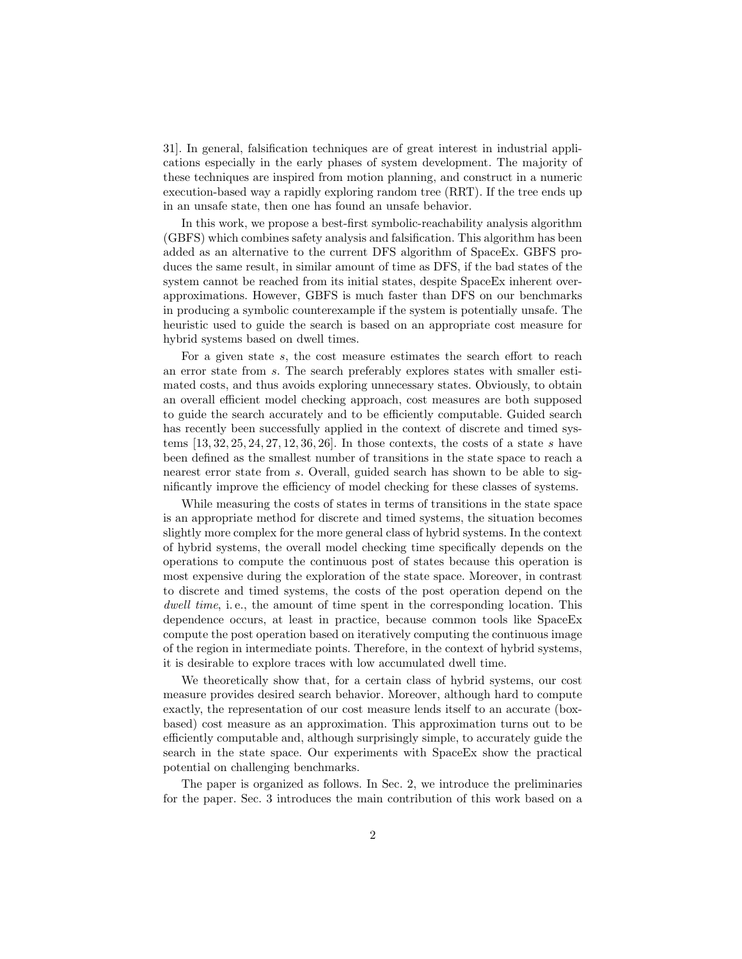31]. In general, falsification techniques are of great interest in industrial applications especially in the early phases of system development. The majority of these techniques are inspired from motion planning, and construct in a numeric execution-based way a rapidly exploring random tree (RRT). If the tree ends up in an unsafe state, then one has found an unsafe behavior.

In this work, we propose a best-first symbolic-reachability analysis algorithm (GBFS) which combines safety analysis and falsification. This algorithm has been added as an alternative to the current DFS algorithm of SpaceEx. GBFS produces the same result, in similar amount of time as DFS, if the bad states of the system cannot be reached from its initial states, despite SpaceEx inherent overapproximations. However, GBFS is much faster than DFS on our benchmarks in producing a symbolic counterexample if the system is potentially unsafe. The heuristic used to guide the search is based on an appropriate cost measure for hybrid systems based on dwell times.

For a given state s, the cost measure estimates the search effort to reach an error state from s. The search preferably explores states with smaller estimated costs, and thus avoids exploring unnecessary states. Obviously, to obtain an overall efficient model checking approach, cost measures are both supposed to guide the search accurately and to be efficiently computable. Guided search has recently been successfully applied in the context of discrete and timed systems  $[13, 32, 25, 24, 27, 12, 36, 26]$ . In those contexts, the costs of a state s have been defined as the smallest number of transitions in the state space to reach a nearest error state from s. Overall, guided search has shown to be able to significantly improve the efficiency of model checking for these classes of systems.

While measuring the costs of states in terms of transitions in the state space is an appropriate method for discrete and timed systems, the situation becomes slightly more complex for the more general class of hybrid systems. In the context of hybrid systems, the overall model checking time specifically depends on the operations to compute the continuous post of states because this operation is most expensive during the exploration of the state space. Moreover, in contrast to discrete and timed systems, the costs of the post operation depend on the dwell time, i.e., the amount of time spent in the corresponding location. This dependence occurs, at least in practice, because common tools like SpaceEx compute the post operation based on iteratively computing the continuous image of the region in intermediate points. Therefore, in the context of hybrid systems, it is desirable to explore traces with low accumulated dwell time.

We theoretically show that, for a certain class of hybrid systems, our cost measure provides desired search behavior. Moreover, although hard to compute exactly, the representation of our cost measure lends itself to an accurate (boxbased) cost measure as an approximation. This approximation turns out to be efficiently computable and, although surprisingly simple, to accurately guide the search in the state space. Our experiments with SpaceEx show the practical potential on challenging benchmarks.

The paper is organized as follows. In Sec. 2, we introduce the preliminaries for the paper. Sec. 3 introduces the main contribution of this work based on a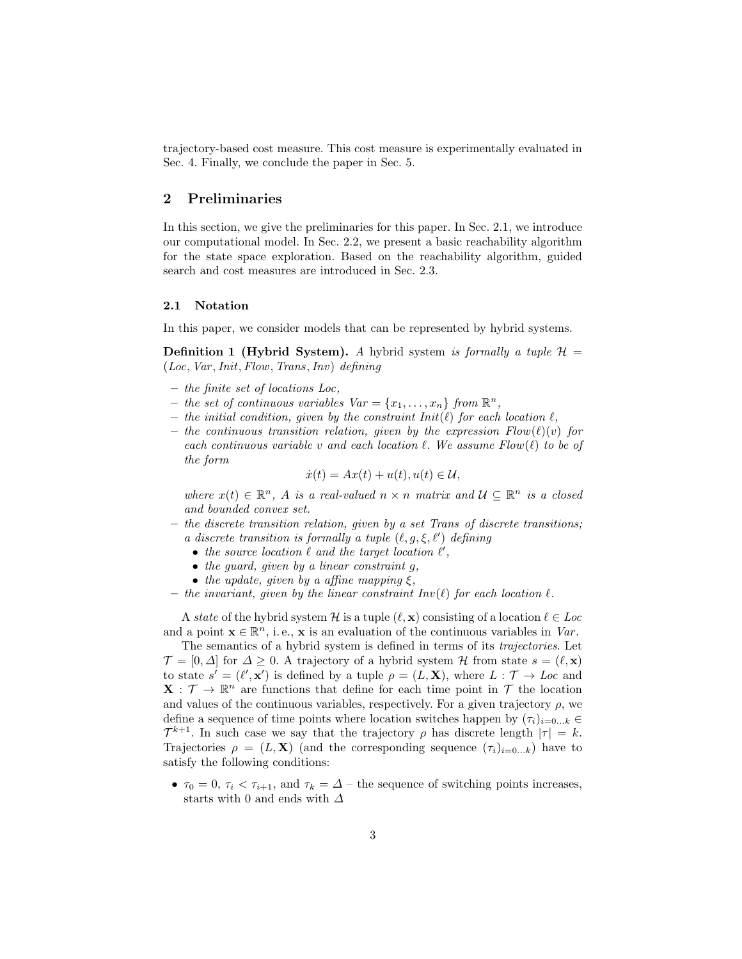trajectory-based cost measure. This cost measure is experimentally evaluated in Sec. 4. Finally, we conclude the paper in Sec. 5.

# 2 Preliminaries

In this section, we give the preliminaries for this paper. In Sec. 2.1, we introduce our computational model. In Sec. 2.2, we present a basic reachability algorithm for the state space exploration. Based on the reachability algorithm, guided search and cost measures are introduced in Sec. 2.3.

#### 2.1 Notation

In this paper, we consider models that can be represented by hybrid systems.

**Definition 1 (Hybrid System).** A hybrid system is formally a tuple  $H =$  $(Loc, Var,Init, Flow, Trans, Inv)$  defining

- the finite set of locations Loc,
- the set of continuous variables  $Var = \{x_1, \ldots, x_n\}$  from  $\mathbb{R}^n$ ,
- the initial condition, given by the constraint  $Init(\ell)$  for each location  $\ell$ ,
- the continuous transition relation, given by the expression  $Flow(\ell)(v)$  for each continuous variable v and each location  $\ell$ . We assume  $Flow(\ell)$  to be of the form

$$
\dot{x}(t) = Ax(t) + u(t), u(t) \in \mathcal{U},
$$

where  $x(t) \in \mathbb{R}^n$ , A is a real-valued  $n \times n$  matrix and  $\mathcal{U} \subseteq \mathbb{R}^n$  is a closed and bounded convex set.

- $-$  the discrete transition relation, given by a set Trans of discrete transitions; a discrete transition is formally a tuple  $(\ell, g, \xi, \ell')$  defining
	- the source location  $\ell$  and the target location  $\ell'$ ,
	- $\bullet$  the guard, given by a linear constraint  $g$ ,
	- the update, given by a affine mapping  $\xi$ ,
- the invariant, given by the linear constraint  $Inv(\ell)$  for each location  $\ell$ .

A state of the hybrid system H is a tuple  $(\ell, \mathbf{x})$  consisting of a location  $\ell \in Loc$ and a point  $\mathbf{x} \in \mathbb{R}^n$ , i.e.,  $\mathbf{x}$  is an evaluation of the continuous variables in Var.

The semantics of a hybrid system is defined in terms of its trajectories. Let  $\mathcal{T} = [0, \Delta]$  for  $\Delta > 0$ . A trajectory of a hybrid system H from state  $s = (\ell, \mathbf{x})$ to state  $s' = (\ell', \mathbf{x}')$  is defined by a tuple  $\rho = (L, \mathbf{X})$ , where  $L : \mathcal{T} \to \text{Loc}$  and  $\mathbf{X}: \mathcal{T} \to \mathbb{R}^n$  are functions that define for each time point in  $\mathcal{T}$  the location and values of the continuous variables, respectively. For a given trajectory  $\rho$ , we define a sequence of time points where location switches happen by  $(\tau_i)_{i=0...k}$  $\mathcal{T}^{k+1}$ . In such case we say that the trajectory  $\rho$  has discrete length  $|\tau| = k$ . Trajectories  $\rho = (L, \mathbf{X})$  (and the corresponding sequence  $(\tau_i)_{i=0...k}$ ) have to satisfy the following conditions:

•  $\tau_0 = 0$ ,  $\tau_i < \tau_{i+1}$ , and  $\tau_k = \Delta$  – the sequence of switching points increases, starts with 0 and ends with  $\Delta$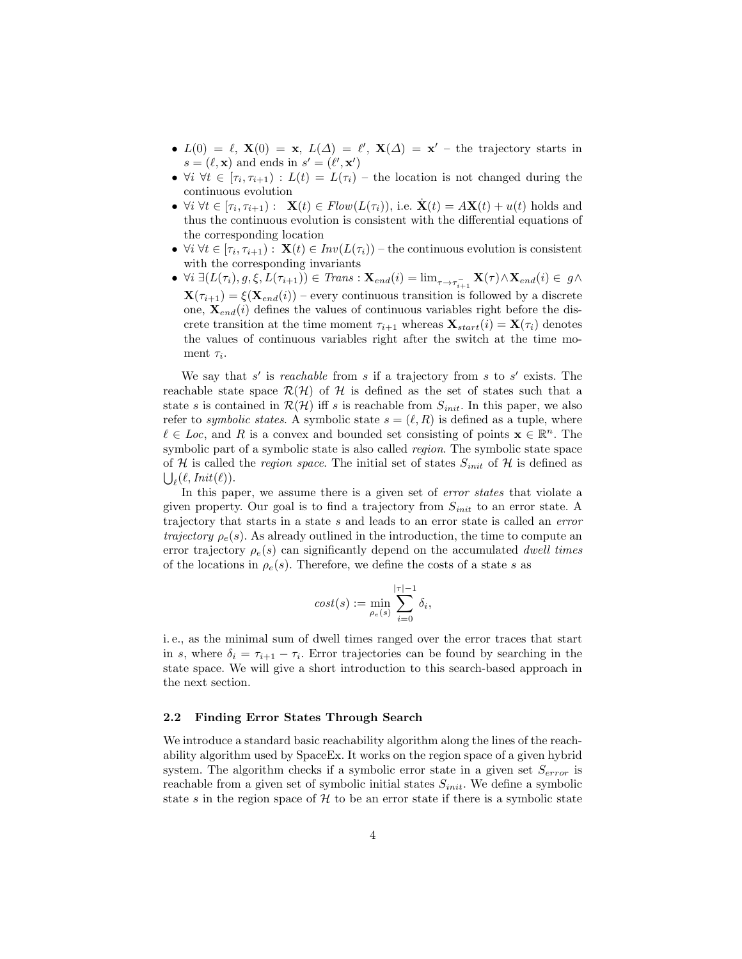- $L(0) = \ell$ ,  $\mathbf{X}(0) = \mathbf{x}, L(\Delta) = \ell', \mathbf{X}(\Delta) = \mathbf{x}'$  the trajectory starts in  $s = (\ell, \mathbf{x})$  and ends in  $s' = (\ell', \mathbf{x}')$
- $\forall i \ \forall t \in [\tau_i, \tau_{i+1}) : L(t) = L(\tau_i)$  the location is not changed during the continuous evolution
- $\forall i \ \forall t \in [\tau_i, \tau_{i+1}) : \mathbf{X}(t) \in Flow(L(\tau_i)),$  i.e.  $\dot{\mathbf{X}}(t) = A\mathbf{X}(t) + u(t)$  holds and thus the continuous evolution is consistent with the differential equations of the corresponding location
- $\forall i \ \forall t \in [\tau_i, \tau_{i+1}) : \mathbf{X}(t) \in Inv(L(\tau_i))$  the continuous evolution is consistent with the corresponding invariants
- $\forall i \ \exists (L(\tau_i), g, \xi, L(\tau_{i+1})) \in \text{Trans}: \mathbf{X}_{end}(i) = \lim_{\tau \to \tau_{i+1}^-} \mathbf{X}(\tau) \wedge \mathbf{X}_{end}(i) \in g \wedge$  $\mathbf{X}(\tau_{i+1}) = \xi(\mathbf{X}_{end}(i))$  – every continuous transition is followed by a discrete one,  $\mathbf{X}_{end}(i)$  defines the values of continuous variables right before the discrete transition at the time moment  $\tau_{i+1}$  whereas  $\mathbf{X}_{start}(i) = \mathbf{X}(\tau_i)$  denotes the values of continuous variables right after the switch at the time moment  $\tau_i$ .

We say that  $s'$  is reachable from s if a trajectory from s to  $s'$  exists. The reachable state space  $\mathcal{R}(\mathcal{H})$  of H is defined as the set of states such that a state s is contained in  $\mathcal{R}(\mathcal{H})$  iff s is reachable from  $S_{init}$ . In this paper, we also refer to *symbolic states*. A symbolic state  $s = (\ell, R)$  is defined as a tuple, where  $\ell \in Loc$ , and R is a convex and bounded set consisting of points  $\mathbf{x} \in \mathbb{R}^n$ . The symbolic part of a symbolic state is also called *region*. The symbolic state space of H is called the region space. The initial set of states  $S_{init}$  of H is defined as  $\bigcup_{\ell}(\ell,Init(\ell)).$ 

In this paper, we assume there is a given set of *error states* that violate a given property. Our goal is to find a trajectory from  $S_{init}$  to an error state. A trajectory that starts in a state s and leads to an error state is called an error *trajectory*  $\rho_e(s)$ . As already outlined in the introduction, the time to compute an error trajectory  $\rho_e(s)$  can significantly depend on the accumulated dwell times of the locations in  $\rho_e(s)$ . Therefore, we define the costs of a state s as

$$
cost(s) := \min_{\rho_e(s)} \sum_{i=0}^{|\tau| - 1} \delta_i,
$$

i. e., as the minimal sum of dwell times ranged over the error traces that start in s, where  $\delta_i = \tau_{i+1} - \tau_i$ . Error trajectories can be found by searching in the state space. We will give a short introduction to this search-based approach in the next section.

#### 2.2 Finding Error States Through Search

We introduce a standard basic reachability algorithm along the lines of the reachability algorithm used by SpaceEx. It works on the region space of a given hybrid system. The algorithm checks if a symbolic error state in a given set  $S_{error}$  is reachable from a given set of symbolic initial states  $S_{init}$ . We define a symbolic state s in the region space of  $H$  to be an error state if there is a symbolic state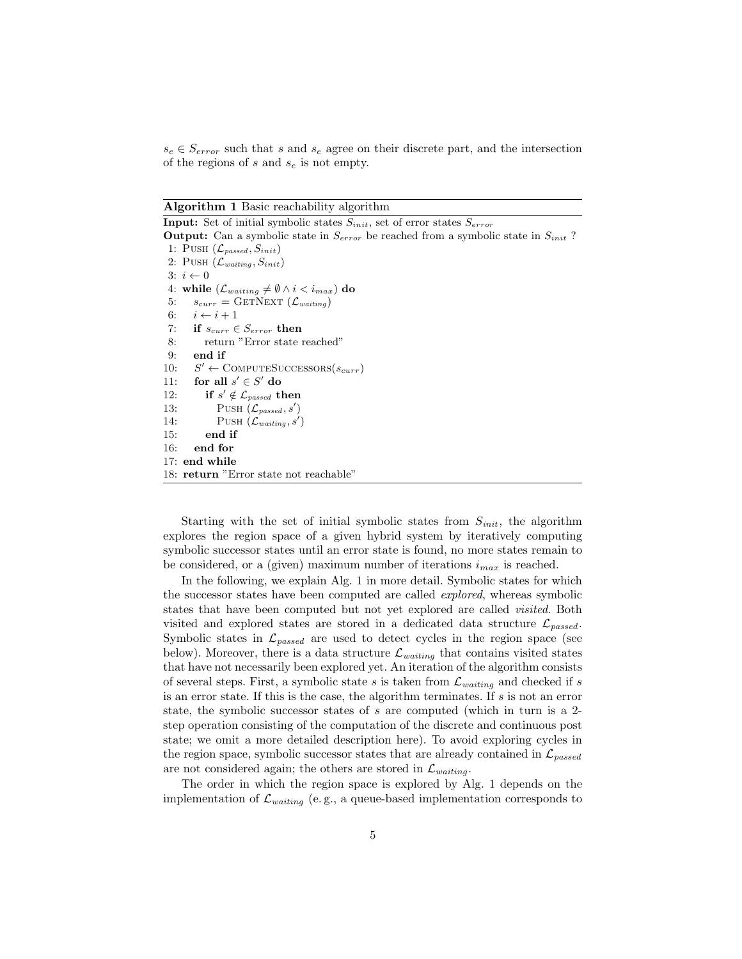$s_e \in S_{error}$  such that s and  $s_e$  agree on their discrete part, and the intersection of the regions of s and  $s_e$  is not empty.

#### Algorithm 1 Basic reachability algorithm

**Input:** Set of initial symbolic states  $S_{init}$ , set of error states  $S_{error}$ **Output:** Can a symbolic state in  $S_{error}$  be reached from a symbolic state in  $S_{init}$ ? 1: PUSH  $(\mathcal{L}_{passed}, S_{init})$ 2: PUSH  $(\mathcal{L}_{waiting}, S_{init})$ 3:  $i \leftarrow 0$ 4: while  $(\mathcal{L}_{waiting} \neq \emptyset \land i < i_{max})$  do 5:  $s_{curr} = \text{GETNext}(\mathcal{L}_{waiting})$ 6:  $i \leftarrow i + 1$ 7: if  $s_{curr} \in S_{error}$  then 8: return "Error state reached" 9: end if  $10:$  $S' \leftarrow$  COMPUTESUCCESSORS $(s_{curr})$ 11: for all  $s' \in S'$  do 12: if  $s' \notin \mathcal{L}_{passed}$  then 13: PUSH  $(\mathcal{L}_{passed}, s')$ 14: PUSH  $(\mathcal{L}_{waiting}, s')$ 15: end if 16: end for 17: end while 18: return "Error state not reachable"

Starting with the set of initial symbolic states from  $S_{init}$ , the algorithm explores the region space of a given hybrid system by iteratively computing symbolic successor states until an error state is found, no more states remain to be considered, or a (given) maximum number of iterations  $i_{max}$  is reached.

In the following, we explain Alg. 1 in more detail. Symbolic states for which the successor states have been computed are called *explored*, whereas symbolic states that have been computed but not yet explored are called visited. Both visited and explored states are stored in a dedicated data structure  $\mathcal{L}_{passed}$ . Symbolic states in  $\mathcal{L}_{passed}$  are used to detect cycles in the region space (see below). Moreover, there is a data structure  $\mathcal{L}_{waiting}$  that contains visited states that have not necessarily been explored yet. An iteration of the algorithm consists of several steps. First, a symbolic state s is taken from  $\mathcal{L}_{waiting}$  and checked if s is an error state. If this is the case, the algorithm terminates. If s is not an error state, the symbolic successor states of s are computed (which in turn is a 2 step operation consisting of the computation of the discrete and continuous post state; we omit a more detailed description here). To avoid exploring cycles in the region space, symbolic successor states that are already contained in  $\mathcal{L}_{passed}$ are not considered again; the others are stored in  $\mathcal{L}_{within}$ .

The order in which the region space is explored by Alg. 1 depends on the implementation of  $\mathcal{L}_{waiting}$  (e.g., a queue-based implementation corresponds to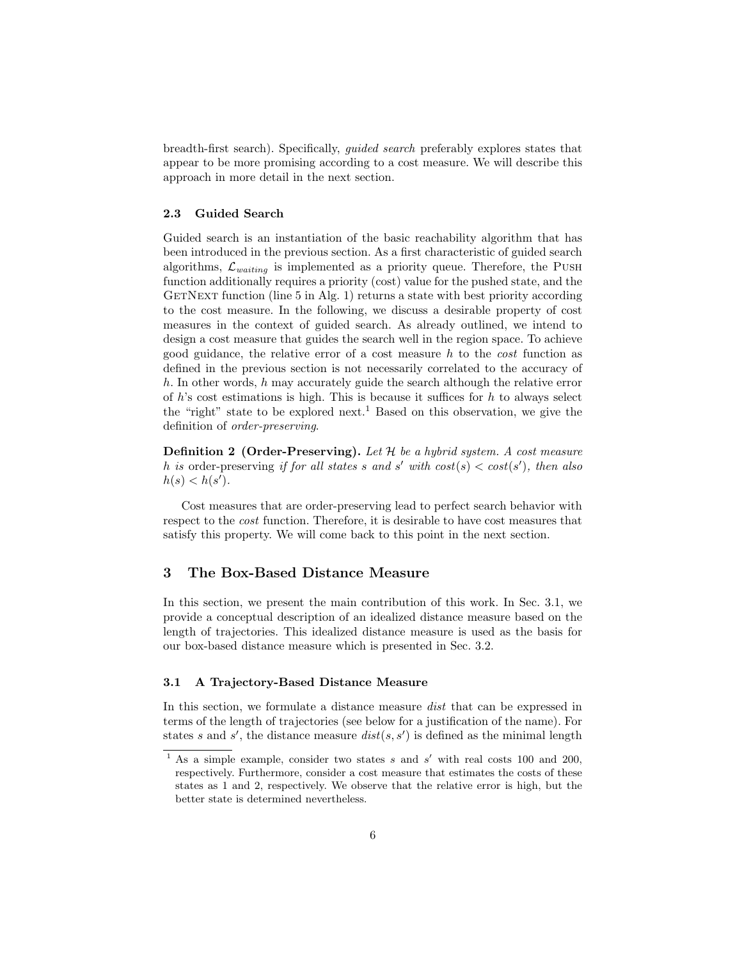breadth-first search). Specifically, guided search preferably explores states that appear to be more promising according to a cost measure. We will describe this approach in more detail in the next section.

#### 2.3 Guided Search

Guided search is an instantiation of the basic reachability algorithm that has been introduced in the previous section. As a first characteristic of guided search algorithms,  $\mathcal{L}_{waiting}$  is implemented as a priority queue. Therefore, the PUSH function additionally requires a priority (cost) value for the pushed state, and the GETNEXT function (line  $5$  in Alg. 1) returns a state with best priority according to the cost measure. In the following, we discuss a desirable property of cost measures in the context of guided search. As already outlined, we intend to design a cost measure that guides the search well in the region space. To achieve good guidance, the relative error of a cost measure  $h$  to the *cost* function as defined in the previous section is not necessarily correlated to the accuracy of h. In other words, h may accurately guide the search although the relative error of  $h$ 's cost estimations is high. This is because it suffices for  $h$  to always select the "right" state to be explored next.<sup>1</sup> Based on this observation, we give the definition of order-preserving.

**Definition 2 (Order-Preserving).** Let  $H$  be a hybrid system. A cost measure h is order-preserving if for all states s and s' with  $cost(s) < cost(s')$ , then also  $h(s) < h(s')$ .

Cost measures that are order-preserving lead to perfect search behavior with respect to the *cost* function. Therefore, it is desirable to have cost measures that satisfy this property. We will come back to this point in the next section.

# 3 The Box-Based Distance Measure

In this section, we present the main contribution of this work. In Sec. 3.1, we provide a conceptual description of an idealized distance measure based on the length of trajectories. This idealized distance measure is used as the basis for our box-based distance measure which is presented in Sec. 3.2.

#### 3.1 A Trajectory-Based Distance Measure

In this section, we formulate a distance measure *dist* that can be expressed in terms of the length of trajectories (see below for a justification of the name). For states s and s', the distance measure  $dist(s, s')$  is defined as the minimal length

<sup>&</sup>lt;sup>1</sup> As a simple example, consider two states s and s' with real costs 100 and 200, respectively. Furthermore, consider a cost measure that estimates the costs of these states as 1 and 2, respectively. We observe that the relative error is high, but the better state is determined nevertheless.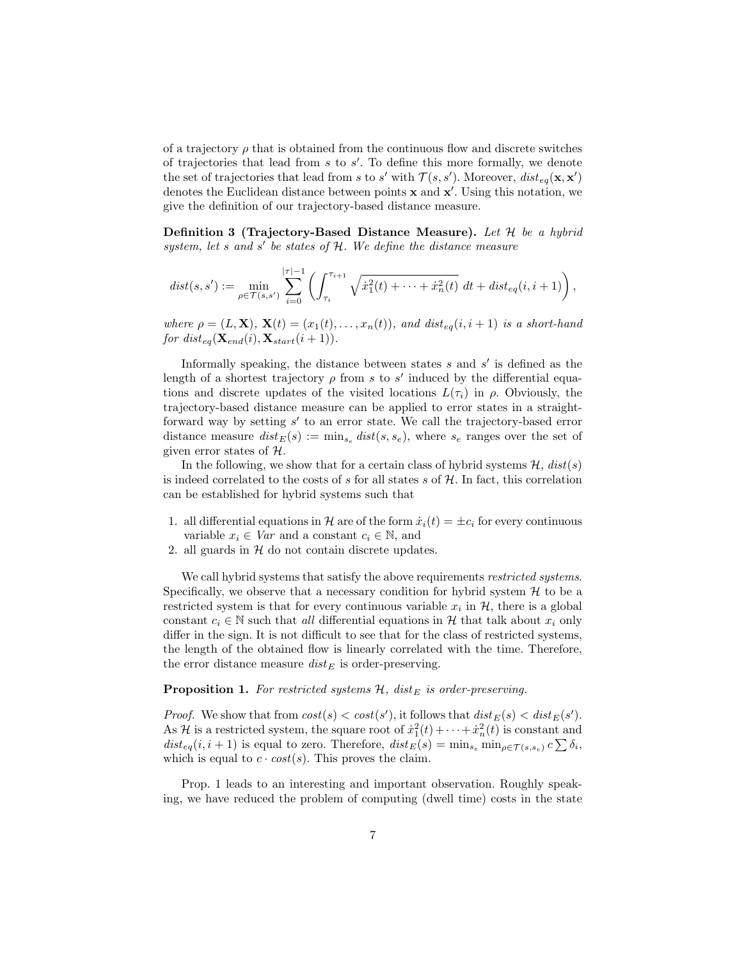of a trajectory  $\rho$  that is obtained from the continuous flow and discrete switches of trajectories that lead from  $s$  to  $s'$ . To define this more formally, we denote the set of trajectories that lead from s to s' with  $\mathcal{T}(s, s')$ . Moreover,  $dist_{eq}(\mathbf{x}, \mathbf{x}')$ denotes the Euclidean distance between points  $x$  and  $x'$ . Using this notation, we give the definition of our trajectory-based distance measure.

**Definition 3 (Trajectory-Based Distance Measure).** Let  $H$  be a hybrid system, let  $s$  and  $s'$  be states of  $H$ . We define the distance measure

$$
dist(s, s') := \min_{\rho \in \mathcal{T}(s, s')} \sum_{i=0}^{|\tau|-1} \left( \int_{\tau_i}^{\tau_{i+1}} \sqrt{\dot{x}_1^2(t) + \dots + \dot{x}_n^2(t)} \, dt + dist_{eq}(i, i+1) \right),
$$

where  $\rho = (L, \mathbf{X}), \mathbf{X}(t) = (x_1(t), \dots, x_n(t)),$  and  $dist_{eq}(i, i + 1)$  is a short-hand for  $dist_{eq}(\mathbf{X}_{end}(i), \mathbf{X}_{start}(i+1)).$ 

Informally speaking, the distance between states  $s$  and  $s'$  is defined as the length of a shortest trajectory  $\rho$  from s to s' induced by the differential equations and discrete updates of the visited locations  $L(\tau_i)$  in  $\rho$ . Obviously, the trajectory-based distance measure can be applied to error states in a straightforward way by setting  $s'$  to an error state. We call the trajectory-based error distance measure  $dist_E(s) := \min_{s_e} dist(s, s_e)$ , where  $s_e$  ranges over the set of given error states of  $H$ .

In the following, we show that for a certain class of hybrid systems  $H$ ,  $dist(s)$ is indeed correlated to the costs of s for all states s of  $H$ . In fact, this correlation can be established for hybrid systems such that

- 1. all differential equations in H are of the form  $\dot{x}_i(t) = \pm c_i$  for every continuous variable  $x_i \in Var$  and a constant  $c_i \in \mathbb{N}$ , and
- 2. all guards in  $H$  do not contain discrete updates.

We call hybrid systems that satisfy the above requirements *restricted systems*. Specifically, we observe that a necessary condition for hybrid system  $H$  to be a restricted system is that for every continuous variable  $x_i$  in  $H$ , there is a global constant  $c_i \in \mathbb{N}$  such that *all* differential equations in H that talk about  $x_i$  only differ in the sign. It is not difficult to see that for the class of restricted systems, the length of the obtained flow is linearly correlated with the time. Therefore, the error distance measure  $dist_E$  is order-preserving.

#### **Proposition 1.** For restricted systems  $H$ , dist<sub>E</sub> is order-preserving.

*Proof.* We show that from  $cost(s) < cost(s')$ , it follows that  $dist_E(s) < dist_E(s')$ . As H is a restricted system, the square root of  $\dot{x}_1^2(t) + \cdots + \dot{x}_n^2(t)$  is constant and  $dist_{eq}(i, i+1)$  is equal to zero. Therefore,  $dist_E(s) = \min_{s_e} \min_{\rho \in \mathcal{T}(s, s_e)} c \sum_{i} \delta_i$ which is equal to  $c \cdot cost(s)$ . This proves the claim.

Prop. 1 leads to an interesting and important observation. Roughly speaking, we have reduced the problem of computing (dwell time) costs in the state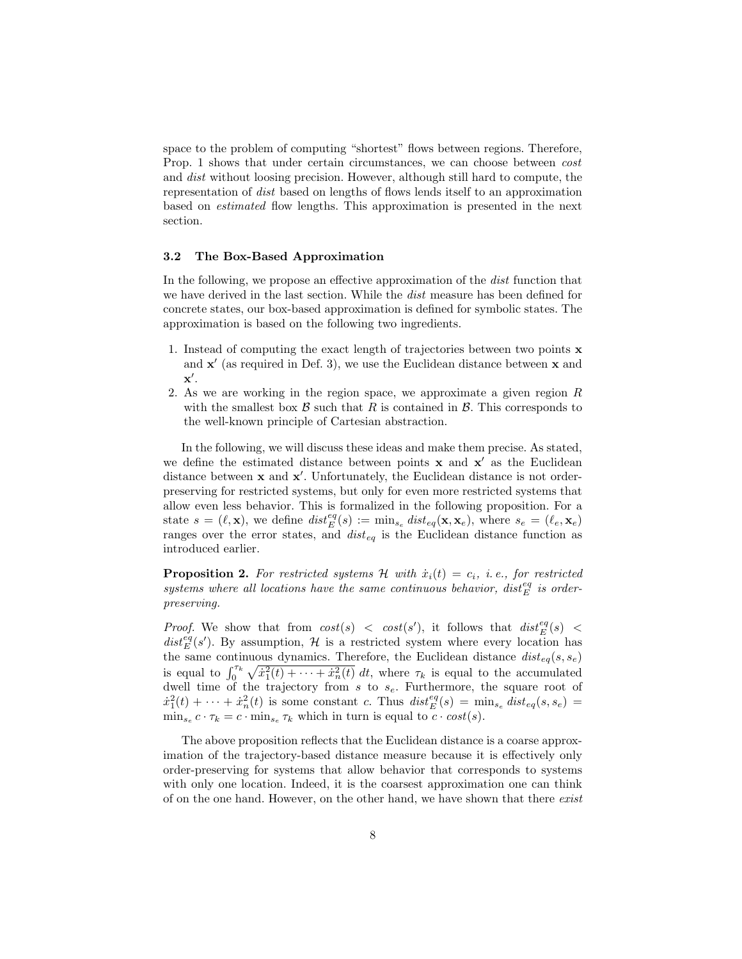space to the problem of computing "shortest" flows between regions. Therefore, Prop. 1 shows that under certain circumstances, we can choose between cost and dist without loosing precision. However, although still hard to compute, the representation of dist based on lengths of flows lends itself to an approximation based on estimated flow lengths. This approximation is presented in the next section.

#### 3.2 The Box-Based Approximation

In the following, we propose an effective approximation of the dist function that we have derived in the last section. While the *dist* measure has been defined for concrete states, our box-based approximation is defined for symbolic states. The approximation is based on the following two ingredients.

- 1. Instead of computing the exact length of trajectories between two points x and  $x'$  (as required in Def. 3), we use the Euclidean distance between  $x$  and  $\mathbf{x}'$  .
- 2. As we are working in the region space, we approximate a given region  $R$ with the smallest box  $\beta$  such that R is contained in  $\beta$ . This corresponds to the well-known principle of Cartesian abstraction.

In the following, we will discuss these ideas and make them precise. As stated, we define the estimated distance between points  $x$  and  $x'$  as the Euclidean distance between  $x$  and  $x'$ . Unfortunately, the Euclidean distance is not orderpreserving for restricted systems, but only for even more restricted systems that allow even less behavior. This is formalized in the following proposition. For a state  $s = (\ell, \mathbf{x})$ , we define  $dist_E^{eq}(s) := \min_{s_e} dist_{eq}(\mathbf{x}, \mathbf{x}_e)$ , where  $s_e = (\ell_e, \mathbf{x}_e)$ ranges over the error states, and  $dist_{eq}$  is the Euclidean distance function as introduced earlier.

**Proposition 2.** For restricted systems H with  $\dot{x}_i(t) = c_i$ , i.e., for restricted systems where all locations have the same continuous behavior,  $dist_E^{eq}$  is orderpreserving.

*Proof.* We show that from  $cost(s) < cost(s')$ , it follows that  $dist_E^{eq}(s) <$  $dist_E^{eq}(s')$ . By assumption, H is a restricted system where every location has the same continuous dynamics. Therefore, the Euclidean distance  $dist_{eq}(s, s_e)$ is equal to  $\int_0^{\tau_k} \sqrt{\dot{x}_1^2(t) + \cdots + \dot{x}_n^2(t)} dt$ , where  $\tau_k$  is equal to the accumulated dwell time of the trajectory from  $s$  to  $s_e$ . Furthermore, the square root of  $\dot{x}_1^2(t) + \cdots + \dot{x}_n^2(t)$  is some constant c. Thus  $dist_E^{eq}(s) = \min_{s_e} dist_{eq}(s, s_e)$  $\min_{s_e} c \cdot \tau_k = c \cdot \min_{s_e} \tau_k$  which in turn is equal to  $c \cdot cost(s)$ .

The above proposition reflects that the Euclidean distance is a coarse approximation of the trajectory-based distance measure because it is effectively only order-preserving for systems that allow behavior that corresponds to systems with only one location. Indeed, it is the coarsest approximation one can think of on the one hand. However, on the other hand, we have shown that there exist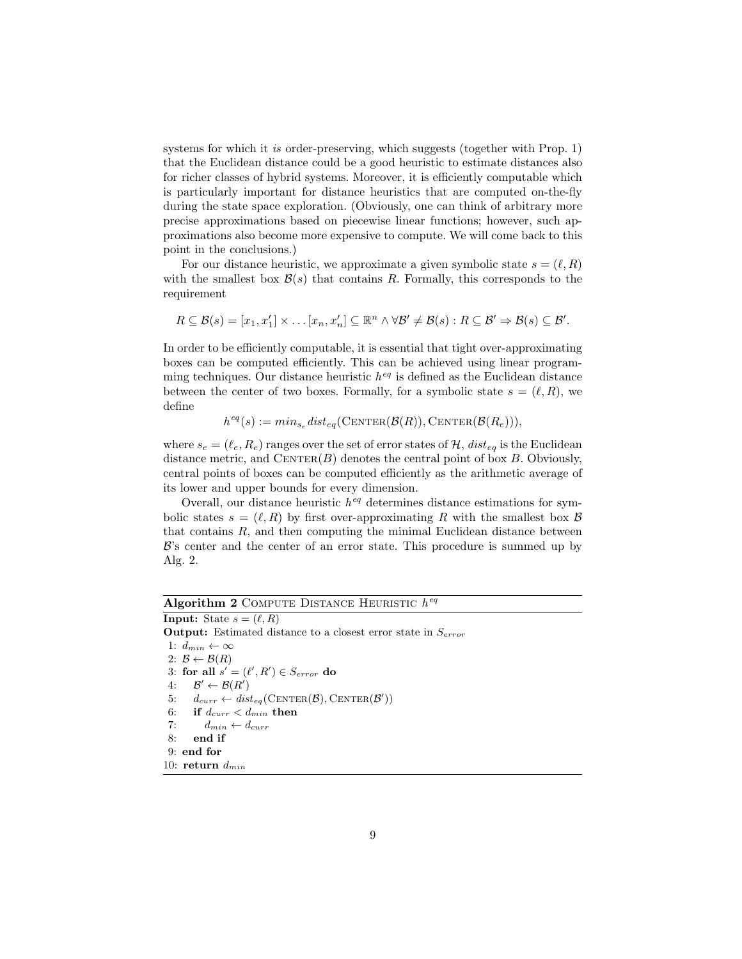systems for which it is order-preserving, which suggests (together with Prop. 1) that the Euclidean distance could be a good heuristic to estimate distances also for richer classes of hybrid systems. Moreover, it is efficiently computable which is particularly important for distance heuristics that are computed on-the-fly during the state space exploration. (Obviously, one can think of arbitrary more precise approximations based on piecewise linear functions; however, such approximations also become more expensive to compute. We will come back to this point in the conclusions.)

For our distance heuristic, we approximate a given symbolic state  $s = (\ell, R)$ with the smallest box  $\mathcal{B}(s)$  that contains R. Formally, this corresponds to the requirement

$$
R \subseteq \mathcal{B}(s) = [x_1, x_1'] \times \dots [x_n, x_n'] \subseteq \mathbb{R}^n \wedge \forall \mathcal{B}' \neq \mathcal{B}(s) : R \subseteq \mathcal{B}' \Rightarrow \mathcal{B}(s) \subseteq \mathcal{B}'.
$$

In order to be efficiently computable, it is essential that tight over-approximating boxes can be computed efficiently. This can be achieved using linear programming techniques. Our distance heuristic  $h^{eq}$  is defined as the Euclidean distance between the center of two boxes. Formally, for a symbolic state  $s = (\ell, R)$ , we define

 $h^{eq}(s) := min_{s_e} dist_{eq}(\text{CENTER}(\mathcal{B}(R)), \text{CENTER}(\mathcal{B}(R_e))),$ 

where  $s_e = (\ell_e, R_e)$  ranges over the set of error states of H,  $dist_{eq}$  is the Euclidean distance metric, and  $\text{CENTER}(B)$  denotes the central point of box B. Obviously, central points of boxes can be computed efficiently as the arithmetic average of its lower and upper bounds for every dimension.

Overall, our distance heuristic  $h^{eq}$  determines distance estimations for symbolic states  $s = (\ell, R)$  by first over-approximating R with the smallest box B that contains  $R$ , and then computing the minimal Euclidean distance between  $B$ 's center and the center of an error state. This procedure is summed up by Alg. 2.

# Algorithm 2 COMPUTE DISTANCE HEURISTIC  $h^{eq}$

**Input:** State  $s = (\ell, R)$ **Output:** Estimated distance to a closest error state in  $S_{error}$ 1:  $d_{min} \leftarrow \infty$ 2:  $\mathcal{B} \leftarrow \mathcal{B}(R)$ 3: for all  $s' = (\ell', R') \in S_{error}$  do  $4:$  $\prime \leftarrow \mathcal{B}(R')$ 5:  $d_{curr} \leftarrow dist_{eq}(\text{CENTER}(\mathcal{B}), \text{CENTER}(\mathcal{B}'))$ 6: if  $d_{curr} < d_{min}$  then 7:  $d_{min} \leftarrow d_{curr}$ 8: end if 9: end for 10: return  $d_{min}$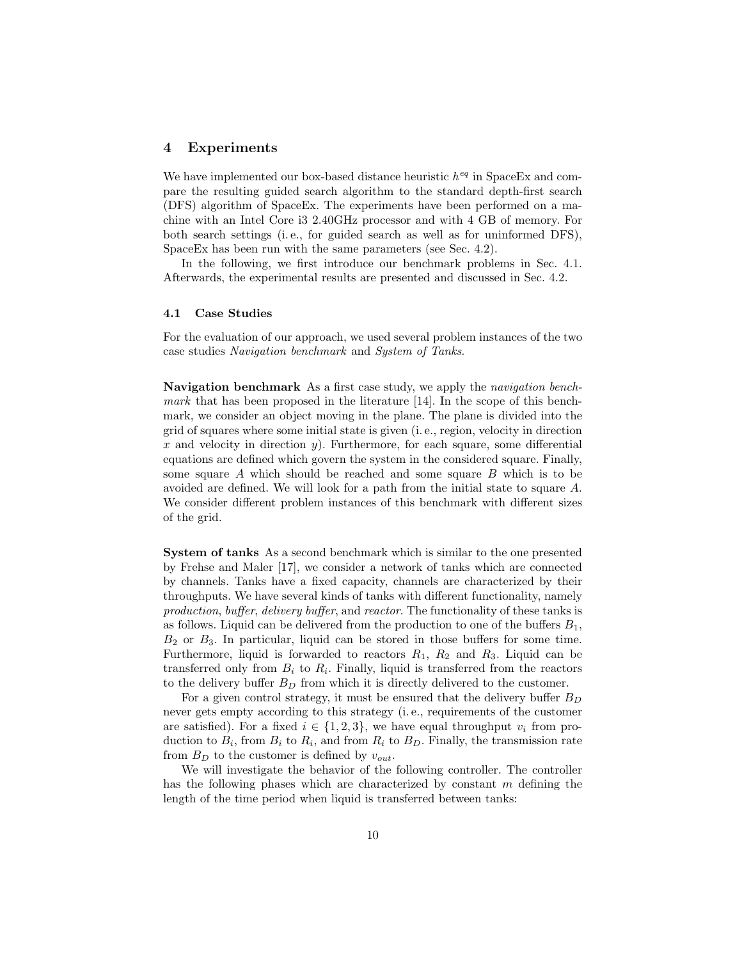### 4 Experiments

We have implemented our box-based distance heuristic  $h^{eq}$  in SpaceEx and compare the resulting guided search algorithm to the standard depth-first search (DFS) algorithm of SpaceEx. The experiments have been performed on a machine with an Intel Core i3 2.40GHz processor and with 4 GB of memory. For both search settings (i. e., for guided search as well as for uninformed DFS), SpaceEx has been run with the same parameters (see Sec. 4.2).

In the following, we first introduce our benchmark problems in Sec. 4.1. Afterwards, the experimental results are presented and discussed in Sec. 4.2.

#### 4.1 Case Studies

For the evaluation of our approach, we used several problem instances of the two case studies Navigation benchmark and System of Tanks.

Navigation benchmark As a first case study, we apply the navigation benchmark that has been proposed in the literature [14]. In the scope of this benchmark, we consider an object moving in the plane. The plane is divided into the grid of squares where some initial state is given (i. e., region, velocity in direction  $x$  and velocity in direction  $y$ ). Furthermore, for each square, some differential equations are defined which govern the system in the considered square. Finally, some square A which should be reached and some square B which is to be avoided are defined. We will look for a path from the initial state to square A. We consider different problem instances of this benchmark with different sizes of the grid.

System of tanks As a second benchmark which is similar to the one presented by Frehse and Maler [17], we consider a network of tanks which are connected by channels. Tanks have a fixed capacity, channels are characterized by their throughputs. We have several kinds of tanks with different functionality, namely production, buffer, delivery buffer, and reactor. The functionality of these tanks is as follows. Liquid can be delivered from the production to one of the buffers  $B_1$ ,  $B_2$  or  $B_3$ . In particular, liquid can be stored in those buffers for some time. Furthermore, liquid is forwarded to reactors  $R_1$ ,  $R_2$  and  $R_3$ . Liquid can be transferred only from  $B_i$  to  $R_i$ . Finally, liquid is transferred from the reactors to the delivery buffer  $B<sub>D</sub>$  from which it is directly delivered to the customer.

For a given control strategy, it must be ensured that the delivery buffer  $B_D$ never gets empty according to this strategy (i. e., requirements of the customer are satisfied). For a fixed  $i \in \{1,2,3\}$ , we have equal throughput  $v_i$  from production to  $B_i$ , from  $B_i$  to  $R_i$ , and from  $R_i$  to  $B_D$ . Finally, the transmission rate from  $B_D$  to the customer is defined by  $v_{out}$ .

We will investigate the behavior of the following controller. The controller has the following phases which are characterized by constant  $m$  defining the length of the time period when liquid is transferred between tanks: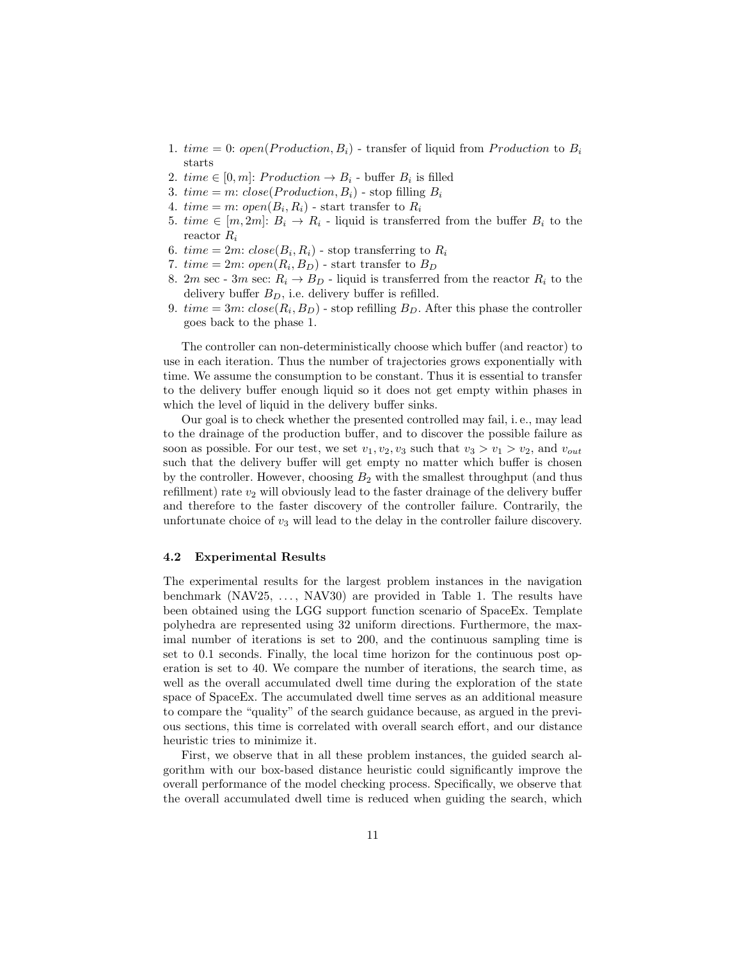- 1. time = 0: open(Production,  $B_i$ ) transfer of liquid from Production to  $B_i$ starts
- 2.  $time \in [0, m]$ :  $Production \rightarrow B_i$  buffer  $B_i$  is filled
- 3.  $time = m: close(Production, B<sub>i</sub>)$  stop filling  $B<sub>i</sub>$
- 4.  $time = m: open(B_i, R_i)$  start transfer to  $R_i$
- 5. time  $\in [m, 2m]$ :  $B_i \to R_i$  liquid is transferred from the buffer  $B_i$  to the reactor  $R_i$
- 6.  $time = 2m$ :  $close(B_i, R_i)$  stop transferring to  $R_i$
- 7.  $time = 2m$ :  $open(R_i, B_D)$  start transfer to  $B_D$
- 8. 2m sec 3m sec:  $R_i \rightarrow B_D$  liquid is transferred from the reactor  $R_i$  to the delivery buffer  $B_D$ , i.e. delivery buffer is refilled.
- 9.  $time = 3m$ :  $close(R_i, B_D)$  stop refilling  $B_D$ . After this phase the controller goes back to the phase 1.

The controller can non-deterministically choose which buffer (and reactor) to use in each iteration. Thus the number of trajectories grows exponentially with time. We assume the consumption to be constant. Thus it is essential to transfer to the delivery buffer enough liquid so it does not get empty within phases in which the level of liquid in the delivery buffer sinks.

Our goal is to check whether the presented controlled may fail, i. e., may lead to the drainage of the production buffer, and to discover the possible failure as soon as possible. For our test, we set  $v_1, v_2, v_3$  such that  $v_3 > v_1 > v_2$ , and  $v_{out}$ such that the delivery buffer will get empty no matter which buffer is chosen by the controller. However, choosing  $B_2$  with the smallest throughput (and thus refillment) rate  $v_2$  will obviously lead to the faster drainage of the delivery buffer and therefore to the faster discovery of the controller failure. Contrarily, the unfortunate choice of  $v_3$  will lead to the delay in the controller failure discovery.

#### 4.2 Experimental Results

The experimental results for the largest problem instances in the navigation benchmark  $(NAV25, \ldots, NAV30)$  are provided in Table 1. The results have been obtained using the LGG support function scenario of SpaceEx. Template polyhedra are represented using 32 uniform directions. Furthermore, the maximal number of iterations is set to 200, and the continuous sampling time is set to 0.1 seconds. Finally, the local time horizon for the continuous post operation is set to 40. We compare the number of iterations, the search time, as well as the overall accumulated dwell time during the exploration of the state space of SpaceEx. The accumulated dwell time serves as an additional measure to compare the "quality" of the search guidance because, as argued in the previous sections, this time is correlated with overall search effort, and our distance heuristic tries to minimize it.

First, we observe that in all these problem instances, the guided search algorithm with our box-based distance heuristic could significantly improve the overall performance of the model checking process. Specifically, we observe that the overall accumulated dwell time is reduced when guiding the search, which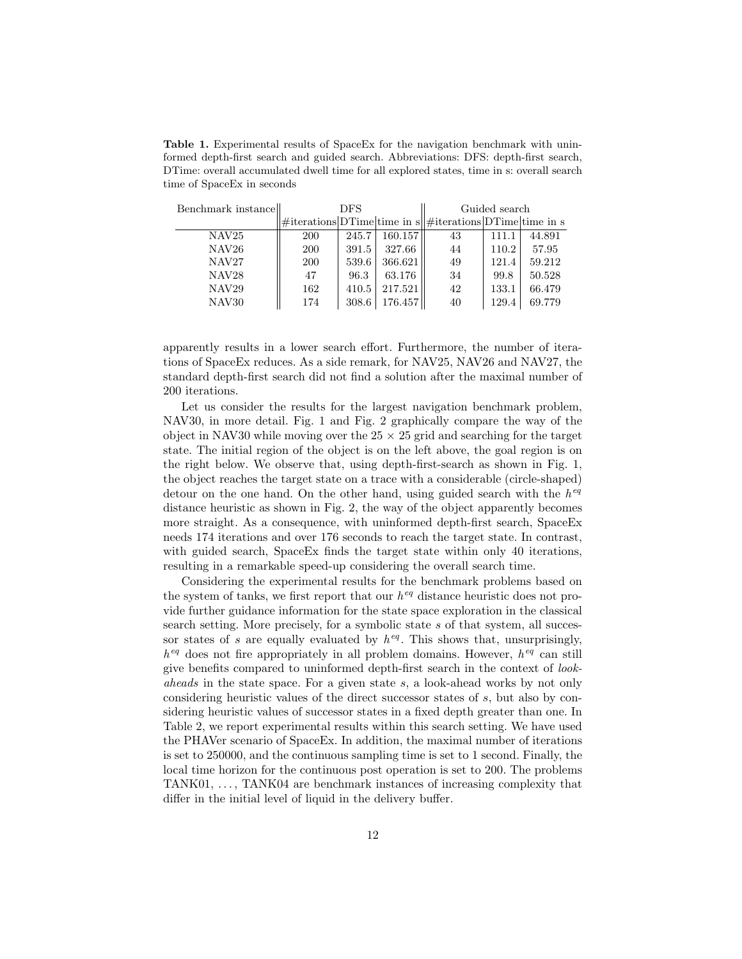Table 1. Experimental results of SpaceEx for the navigation benchmark with uninformed depth-first search and guided search. Abbreviations: DFS: depth-first search, DTime: overall accumulated dwell time for all explored states, time in s: overall search time of SpaceEx in seconds

| Benchmark instance | <b>DFS</b> |       |         | Guided search                                                     |       |        |
|--------------------|------------|-------|---------|-------------------------------------------------------------------|-------|--------|
|                    |            |       |         | $ \#$ iterations DTime time in s $ \#$ iterations DTime time in s |       |        |
| NAV <sub>25</sub>  | <b>200</b> | 245.7 | 160.157 | 43                                                                | 111.1 | 44.891 |
| NAV <sub>26</sub>  | <b>200</b> | 391.5 | 327.66  | 44                                                                | 110.2 | 57.95  |
| <b>NAV27</b>       | <b>200</b> | 539.6 | 366.621 | 49                                                                | 121.4 | 59.212 |
| NAV <sub>28</sub>  | 47         | 96.3  | 63.176  | 34                                                                | 99.8  | 50.528 |
| NAV <sub>29</sub>  | 162        | 410.5 | 217.521 | 42                                                                | 133.1 | 66.479 |
| NAV <sub>30</sub>  | 174        | 308.6 | 176.457 | 40                                                                | 129.4 | 69.779 |

apparently results in a lower search effort. Furthermore, the number of iterations of SpaceEx reduces. As a side remark, for NAV25, NAV26 and NAV27, the standard depth-first search did not find a solution after the maximal number of 200 iterations.

Let us consider the results for the largest navigation benchmark problem, NAV30, in more detail. Fig. 1 and Fig. 2 graphically compare the way of the object in NAV30 while moving over the  $25 \times 25$  grid and searching for the target state. The initial region of the object is on the left above, the goal region is on the right below. We observe that, using depth-first-search as shown in Fig. 1, the object reaches the target state on a trace with a considerable (circle-shaped) detour on the one hand. On the other hand, using guided search with the  $h^{eq}$ distance heuristic as shown in Fig. 2, the way of the object apparently becomes more straight. As a consequence, with uninformed depth-first search, SpaceEx needs 174 iterations and over 176 seconds to reach the target state. In contrast, with guided search, Space Ex finds the target state within only 40 iterations, resulting in a remarkable speed-up considering the overall search time.

Considering the experimental results for the benchmark problems based on the system of tanks, we first report that our  $h^{eq}$  distance heuristic does not provide further guidance information for the state space exploration in the classical search setting. More precisely, for a symbolic state s of that system, all successor states of s are equally evaluated by  $h^{eq}$ . This shows that, unsurprisingly,  $h^{eq}$  does not fire appropriately in all problem domains. However,  $h^{eq}$  can still give benefits compared to uninformed depth-first search in the context of lookaheads in the state space. For a given state s, a look-ahead works by not only considering heuristic values of the direct successor states of s, but also by considering heuristic values of successor states in a fixed depth greater than one. In Table 2, we report experimental results within this search setting. We have used the PHAVer scenario of SpaceEx. In addition, the maximal number of iterations is set to 250000, and the continuous sampling time is set to 1 second. Finally, the local time horizon for the continuous post operation is set to 200. The problems TANK01, ..., TANK04 are benchmark instances of increasing complexity that differ in the initial level of liquid in the delivery buffer.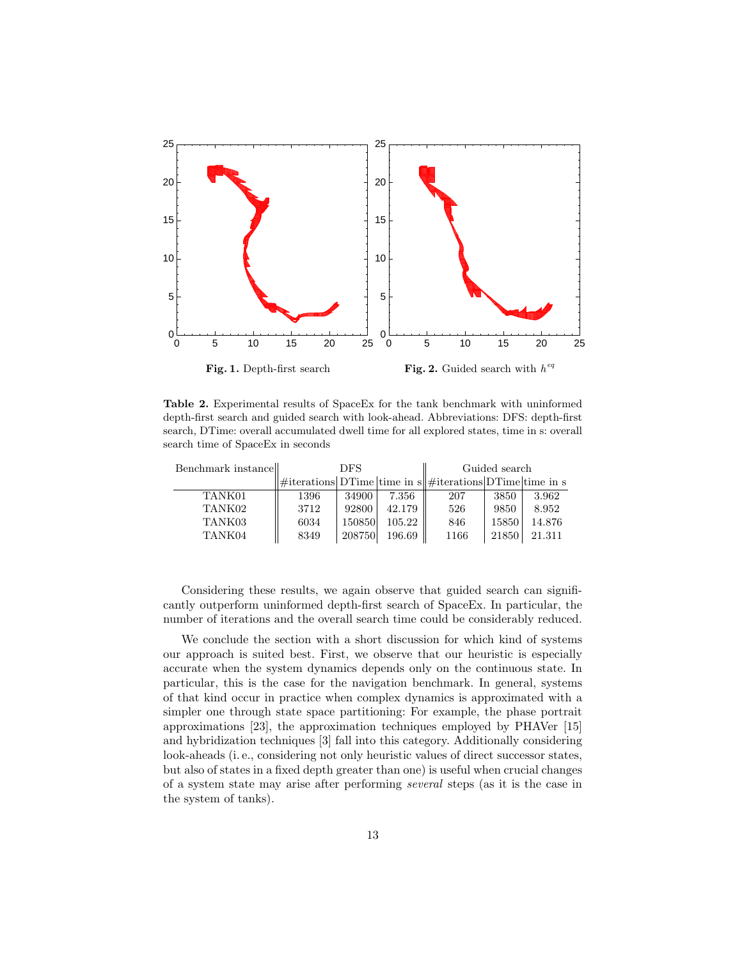

Table 2. Experimental results of SpaceEx for the tank benchmark with uninformed depth-first search and guided search with look-ahead. Abbreviations: DFS: depth-first search, DTime: overall accumulated dwell time for all explored states, time in s: overall search time of SpaceEx in seconds

| Benchmark instance | <b>DFS</b>                                                        |        |        | Guided search |       |        |
|--------------------|-------------------------------------------------------------------|--------|--------|---------------|-------|--------|
|                    | $ \#$ iterations DTime time in s $  #$ iterations DTime time in s |        |        |               |       |        |
| TANK01             | 1396                                                              | 34900  | 7.356  | 207           | 3850  | 3.962  |
| TANK02             | 3712                                                              | 92800  | 42.179 | 526           | 9850  | 8.952  |
| TANK03             | 6034                                                              | 150850 | 105.22 | 846           | 15850 | 14.876 |
| TANK04             | 8349                                                              | 208750 | 196.69 | 1166          | 21850 | 21.311 |

Considering these results, we again observe that guided search can significantly outperform uninformed depth-first search of SpaceEx. In particular, the number of iterations and the overall search time could be considerably reduced.

We conclude the section with a short discussion for which kind of systems our approach is suited best. First, we observe that our heuristic is especially accurate when the system dynamics depends only on the continuous state. In particular, this is the case for the navigation benchmark. In general, systems of that kind occur in practice when complex dynamics is approximated with a simpler one through state space partitioning: For example, the phase portrait approximations [23], the approximation techniques employed by PHAVer [15] and hybridization techniques [3] fall into this category. Additionally considering look-aheads (i. e., considering not only heuristic values of direct successor states, but also of states in a fixed depth greater than one) is useful when crucial changes of a system state may arise after performing several steps (as it is the case in the system of tanks).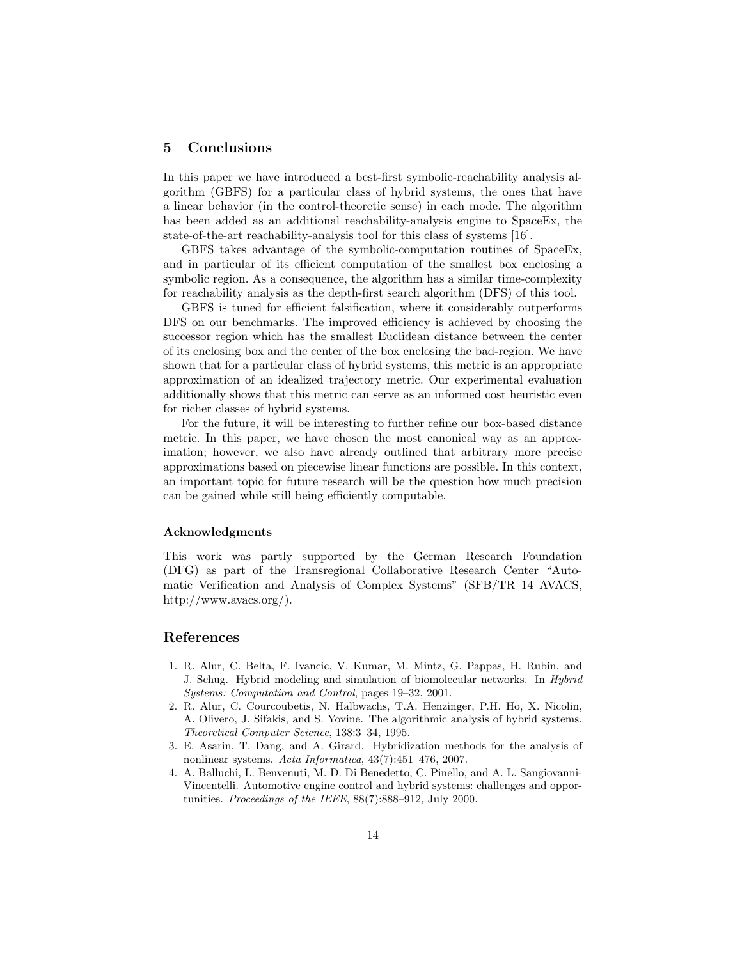### 5 Conclusions

In this paper we have introduced a best-first symbolic-reachability analysis algorithm (GBFS) for a particular class of hybrid systems, the ones that have a linear behavior (in the control-theoretic sense) in each mode. The algorithm has been added as an additional reachability-analysis engine to SpaceEx, the state-of-the-art reachability-analysis tool for this class of systems [16].

GBFS takes advantage of the symbolic-computation routines of SpaceEx, and in particular of its efficient computation of the smallest box enclosing a symbolic region. As a consequence, the algorithm has a similar time-complexity for reachability analysis as the depth-first search algorithm (DFS) of this tool.

GBFS is tuned for efficient falsification, where it considerably outperforms DFS on our benchmarks. The improved efficiency is achieved by choosing the successor region which has the smallest Euclidean distance between the center of its enclosing box and the center of the box enclosing the bad-region. We have shown that for a particular class of hybrid systems, this metric is an appropriate approximation of an idealized trajectory metric. Our experimental evaluation additionally shows that this metric can serve as an informed cost heuristic even for richer classes of hybrid systems.

For the future, it will be interesting to further refine our box-based distance metric. In this paper, we have chosen the most canonical way as an approximation; however, we also have already outlined that arbitrary more precise approximations based on piecewise linear functions are possible. In this context, an important topic for future research will be the question how much precision can be gained while still being efficiently computable.

#### Acknowledgments

This work was partly supported by the German Research Foundation (DFG) as part of the Transregional Collaborative Research Center "Automatic Verification and Analysis of Complex Systems" (SFB/TR 14 AVACS, http://www.avacs.org/).

# References

- 1. R. Alur, C. Belta, F. Ivancic, V. Kumar, M. Mintz, G. Pappas, H. Rubin, and J. Schug. Hybrid modeling and simulation of biomolecular networks. In Hybrid Systems: Computation and Control, pages 19–32, 2001.
- 2. R. Alur, C. Courcoubetis, N. Halbwachs, T.A. Henzinger, P.H. Ho, X. Nicolin, A. Olivero, J. Sifakis, and S. Yovine. The algorithmic analysis of hybrid systems. Theoretical Computer Science, 138:3–34, 1995.
- 3. E. Asarin, T. Dang, and A. Girard. Hybridization methods for the analysis of nonlinear systems. Acta Informatica, 43(7):451–476, 2007.
- 4. A. Balluchi, L. Benvenuti, M. D. Di Benedetto, C. Pinello, and A. L. Sangiovanni-Vincentelli. Automotive engine control and hybrid systems: challenges and opportunities. Proceedings of the IEEE, 88(7):888-912, July 2000.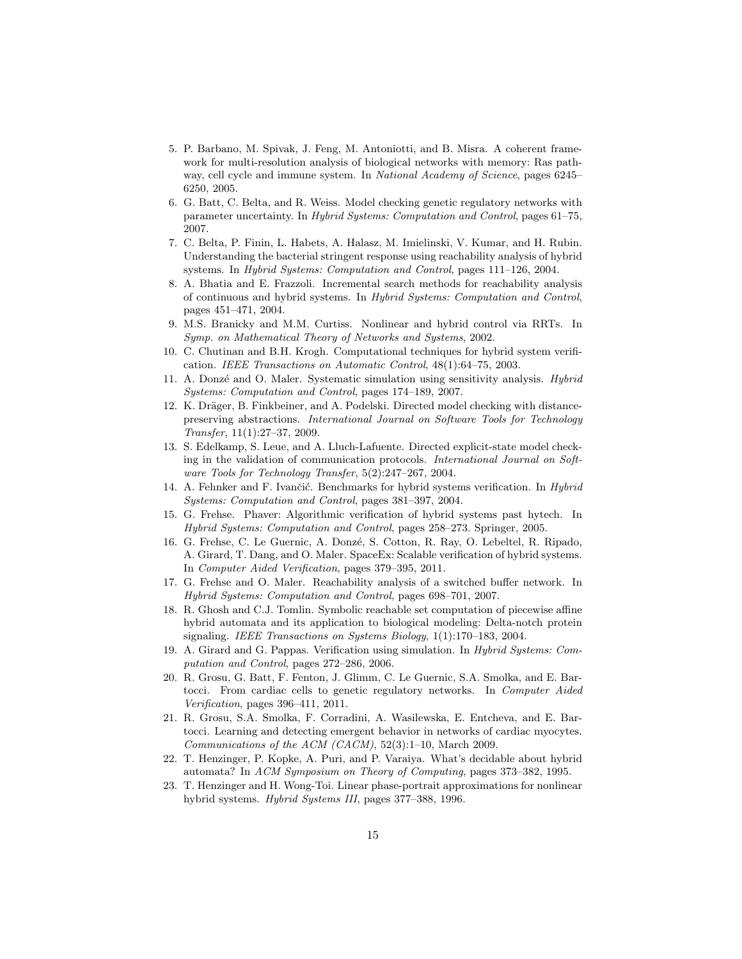- 5. P. Barbano, M. Spivak, J. Feng, M. Antoniotti, and B. Misra. A coherent framework for multi-resolution analysis of biological networks with memory: Ras pathway, cell cycle and immune system. In National Academy of Science, pages 6245– 6250, 2005.
- 6. G. Batt, C. Belta, and R. Weiss. Model checking genetic regulatory networks with parameter uncertainty. In Hybrid Systems: Computation and Control, pages 61–75, 2007.
- 7. C. Belta, P. Finin, L. Habets, A. Halasz, M. Imielinski, V. Kumar, and H. Rubin. Understanding the bacterial stringent response using reachability analysis of hybrid systems. In Hybrid Systems: Computation and Control, pages 111–126, 2004.
- 8. A. Bhatia and E. Frazzoli. Incremental search methods for reachability analysis of continuous and hybrid systems. In Hybrid Systems: Computation and Control, pages 451–471, 2004.
- 9. M.S. Branicky and M.M. Curtiss. Nonlinear and hybrid control via RRTs. In Symp. on Mathematical Theory of Networks and Systems, 2002.
- 10. C. Chutinan and B.H. Krogh. Computational techniques for hybrid system verification. IEEE Transactions on Automatic Control, 48(1):64–75, 2003.
- 11. A. Donzé and O. Maler. Systematic simulation using sensitivity analysis. Hybrid Systems: Computation and Control, pages 174–189, 2007.
- 12. K. Dräger, B. Finkbeiner, and A. Podelski. Directed model checking with distancepreserving abstractions. International Journal on Software Tools for Technology Transfer, 11(1):27–37, 2009.
- 13. S. Edelkamp, S. Leue, and A. Lluch-Lafuente. Directed explicit-state model checking in the validation of communication protocols. International Journal on Software Tools for Technology Transfer, 5(2):247–267, 2004.
- 14. A. Fehnker and F. Ivančić. Benchmarks for hybrid systems verification. In Hybrid Systems: Computation and Control, pages 381–397, 2004.
- 15. G. Frehse. Phaver: Algorithmic verification of hybrid systems past hytech. In Hybrid Systems: Computation and Control, pages 258–273. Springer, 2005.
- 16. G. Frehse, C. Le Guernic, A. Donzé, S. Cotton, R. Ray, O. Lebeltel, R. Ripado, A. Girard, T. Dang, and O. Maler. SpaceEx: Scalable verification of hybrid systems. In Computer Aided Verification, pages 379–395, 2011.
- 17. G. Frehse and O. Maler. Reachability analysis of a switched buffer network. In Hybrid Systems: Computation and Control, pages 698–701, 2007.
- 18. R. Ghosh and C.J. Tomlin. Symbolic reachable set computation of piecewise affine hybrid automata and its application to biological modeling: Delta-notch protein signaling. IEEE Transactions on Systems Biology, 1(1):170–183, 2004.
- 19. A. Girard and G. Pappas. Verification using simulation. In Hybrid Systems: Computation and Control, pages 272–286, 2006.
- 20. R. Grosu, G. Batt, F. Fenton, J. Glimm, C. Le Guernic, S.A. Smolka, and E. Bartocci. From cardiac cells to genetic regulatory networks. In Computer Aided Verification, pages 396–411, 2011.
- 21. R. Grosu, S.A. Smolka, F. Corradini, A. Wasilewska, E. Entcheva, and E. Bartocci. Learning and detecting emergent behavior in networks of cardiac myocytes. Communications of the ACM (CACM), 52(3):1–10, March 2009.
- 22. T. Henzinger, P. Kopke, A. Puri, and P. Varaiya. What's decidable about hybrid automata? In ACM Symposium on Theory of Computing, pages 373–382, 1995.
- 23. T. Henzinger and H. Wong-Toi. Linear phase-portrait approximations for nonlinear hybrid systems. Hybrid Systems III, pages 377–388, 1996.